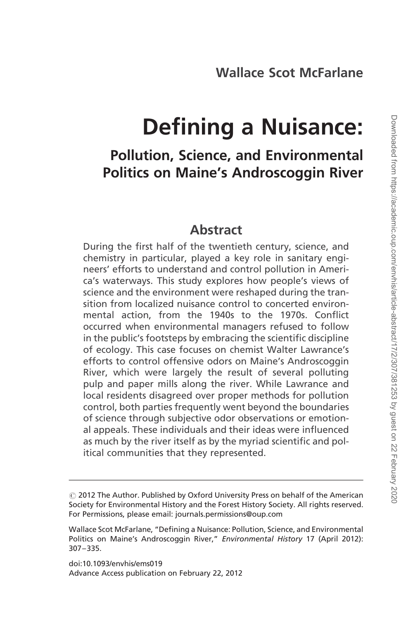# Defining a Nuisance:

# Pollution, Science, and Environmental Politics on Maine's Androscoggin River

#### Abstract

During the first half of the twentieth century, science, and chemistry in particular, played a key role in sanitary engineers' efforts to understand and control pollution in America's waterways. This study explores how people's views of science and the environment were reshaped during the transition from localized nuisance control to concerted environmental action, from the 1940s to the 1970s. Conflict occurred when environmental managers refused to follow in the public's footsteps by embracing the scientific discipline of ecology. This case focuses on chemist Walter Lawrance's efforts to control offensive odors on Maine's Androscoggin River, which were largely the result of several polluting pulp and paper mills along the river. While Lawrance and local residents disagreed over proper methods for pollution control, both parties frequently went beyond the boundaries of science through subjective odor observations or emotional appeals. These individuals and their ideas were influenced as much by the river itself as by the myriad scientific and political communities that they represented.

 $\odot$  2012 The Author. Published by Oxford University Press on behalf of the American Society for Environmental History and the Forest History Society. All rights reserved. For Permissions, please email: journals.permissions@oup.com

Wallace Scot McFarlane, "Defining a Nuisance: Pollution, Science, and Environmental Politics on Maine's Androscoggin River," Environmental History 17 (April 2012): 307–335.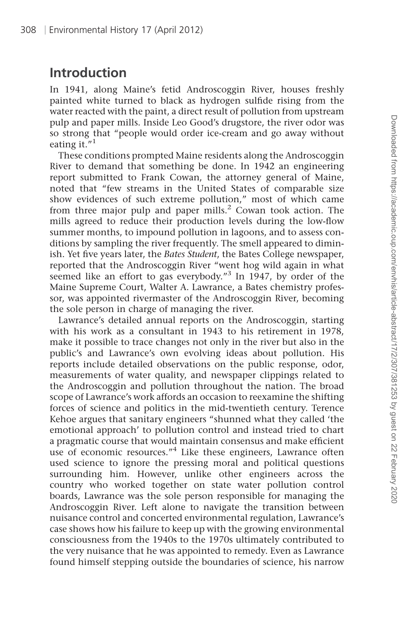## Introduction

In 1941, along Maine's fetid Androscoggin River, houses freshly painted white turned to black as hydrogen sulfide rising from the water reacted with the paint, a direct result of pollution from upstream pulp and paper mills. Inside Leo Good's drugstore, the river odor was so strong that "people would order ice-cream and go away without eating it."<sup>1</sup>

These conditions prompted Maine residents along the Androscoggin River to demand that something be done. In 1942 an engineering report submitted to Frank Cowan, the attorney general of Maine, noted that "few streams in the United States of comparable size show evidences of such extreme pollution," most of which came from three major pulp and paper mills.<sup>2</sup> Cowan took action. The mills agreed to reduce their production levels during the low-flow summer months, to impound pollution in lagoons, and to assess conditions by sampling the river frequently. The smell appeared to diminish. Yet five years later, the Bates Student, the Bates College newspaper, reported that the Androscoggin River "went hog wild again in what seemed like an effort to gas everybody."<sup>3</sup> In 1947, by order of the Maine Supreme Court, Walter A. Lawrance, a Bates chemistry professor, was appointed rivermaster of the Androscoggin River, becoming the sole person in charge of managing the river.

Lawrance's detailed annual reports on the Androscoggin, starting with his work as a consultant in 1943 to his retirement in 1978, make it possible to trace changes not only in the river but also in the public's and Lawrance's own evolving ideas about pollution. His reports include detailed observations on the public response, odor, measurements of water quality, and newspaper clippings related to the Androscoggin and pollution throughout the nation. The broad scope of Lawrance's work affords an occasion to reexamine the shifting forces of science and politics in the mid-twentieth century. Terence Kehoe argues that sanitary engineers "shunned what they called 'the emotional approach' to pollution control and instead tried to chart a pragmatic course that would maintain consensus and make efficient use of economic resources."<sup>4</sup> Like these engineers, Lawrance often used science to ignore the pressing moral and political questions surrounding him. However, unlike other engineers across the country who worked together on state water pollution control boards, Lawrance was the sole person responsible for managing the Androscoggin River. Left alone to navigate the transition between nuisance control and concerted environmental regulation, Lawrance's case shows how his failure to keep up with the growing environmental consciousness from the 1940s to the 1970s ultimately contributed to the very nuisance that he was appointed to remedy. Even as Lawrance found himself stepping outside the boundaries of science, his narrow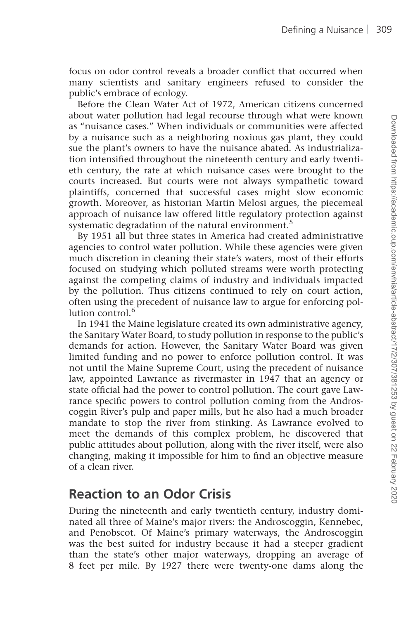focus on odor control reveals a broader conflict that occurred when many scientists and sanitary engineers refused to consider the public's embrace of ecology.

Before the Clean Water Act of 1972, American citizens concerned about water pollution had legal recourse through what were known as "nuisance cases." When individuals or communities were affected by a nuisance such as a neighboring noxious gas plant, they could sue the plant's owners to have the nuisance abated. As industrialization intensified throughout the nineteenth century and early twentieth century, the rate at which nuisance cases were brought to the courts increased. But courts were not always sympathetic toward plaintiffs, concerned that successful cases might slow economic growth. Moreover, as historian Martin Melosi argues, the piecemeal approach of nuisance law offered little regulatory protection against systematic degradation of the natural environment.<sup>5</sup>

By 1951 all but three states in America had created administrative agencies to control water pollution. While these agencies were given much discretion in cleaning their state's waters, most of their efforts focused on studying which polluted streams were worth protecting against the competing claims of industry and individuals impacted by the pollution. Thus citizens continued to rely on court action, often using the precedent of nuisance law to argue for enforcing pollution control.<sup>6</sup>

In 1941 the Maine legislature created its own administrative agency, the Sanitary Water Board, to study pollution in response to the public's demands for action. However, the Sanitary Water Board was given limited funding and no power to enforce pollution control. It was not until the Maine Supreme Court, using the precedent of nuisance law, appointed Lawrance as rivermaster in 1947 that an agency or state official had the power to control pollution. The court gave Lawrance specific powers to control pollution coming from the Androscoggin River's pulp and paper mills, but he also had a much broader mandate to stop the river from stinking. As Lawrance evolved to meet the demands of this complex problem, he discovered that public attitudes about pollution, along with the river itself, were also changing, making it impossible for him to find an objective measure of a clean river.

#### Reaction to an Odor Crisis

During the nineteenth and early twentieth century, industry dominated all three of Maine's major rivers: the Androscoggin, Kennebec, and Penobscot. Of Maine's primary waterways, the Androscoggin was the best suited for industry because it had a steeper gradient than the state's other major waterways, dropping an average of 8 feet per mile. By 1927 there were twenty-one dams along the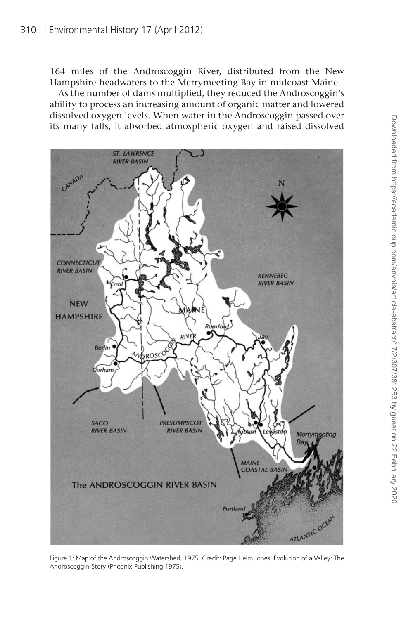164 miles of the Androscoggin River, distributed from the New Hampshire headwaters to the Merrymeeting Bay in midcoast Maine.

As the number of dams multiplied, they reduced the Androscoggin's ability to process an increasing amount of organic matter and lowered dissolved oxygen levels. When water in the Androscoggin passed over its many falls, it absorbed atmospheric oxygen and raised dissolved



Figure 1: Map of the Androscoggin Watershed, 1975. Credit: Page Helm Jones, Evolution of a Valley: The Androscoggin Story (Phoenix Publishing,1975).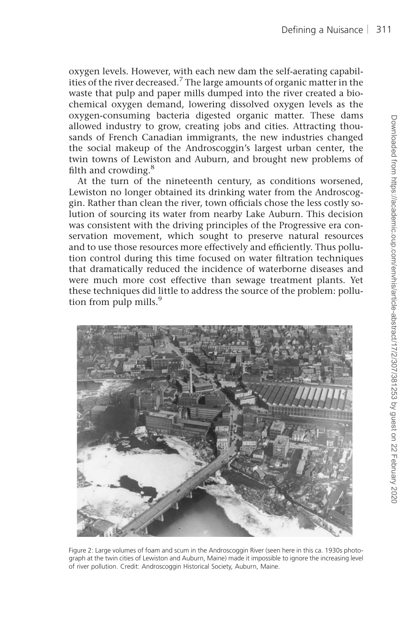oxygen levels. However, with each new dam the self-aerating capabilities of the river decreased.<sup>7</sup> The large amounts of organic matter in the waste that pulp and paper mills dumped into the river created a biochemical oxygen demand, lowering dissolved oxygen levels as the oxygen-consuming bacteria digested organic matter. These dams allowed industry to grow, creating jobs and cities. Attracting thousands of French Canadian immigrants, the new industries changed the social makeup of the Androscoggin's largest urban center, the twin towns of Lewiston and Auburn, and brought new problems of filth and crowding.<sup>8</sup>

At the turn of the nineteenth century, as conditions worsened, Lewiston no longer obtained its drinking water from the Androscoggin. Rather than clean the river, town officials chose the less costly solution of sourcing its water from nearby Lake Auburn. This decision was consistent with the driving principles of the Progressive era conservation movement, which sought to preserve natural resources and to use those resources more effectively and efficiently. Thus pollution control during this time focused on water filtration techniques that dramatically reduced the incidence of waterborne diseases and were much more cost effective than sewage treatment plants. Yet these techniques did little to address the source of the problem: pollution from pulp mills.<sup>9</sup>



Figure 2: Large volumes of foam and scum in the Androscoggin River (seen here in this ca. 1930s photograph at the twin cities of Lewiston and Auburn, Maine) made it impossible to ignore the increasing level of river pollution. Credit: Androscoggin Historical Society, Auburn, Maine.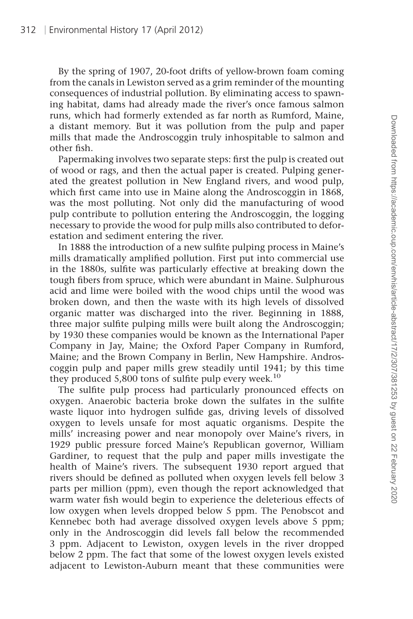By the spring of 1907, 20-foot drifts of yellow-brown foam coming from the canals in Lewiston served as a grim reminder of the mounting consequences of industrial pollution. By eliminating access to spawning habitat, dams had already made the river's once famous salmon runs, which had formerly extended as far north as Rumford, Maine, a distant memory. But it was pollution from the pulp and paper mills that made the Androscoggin truly inhospitable to salmon and other fish.

Papermaking involves two separate steps: first the pulp is created out of wood or rags, and then the actual paper is created. Pulping generated the greatest pollution in New England rivers, and wood pulp, which first came into use in Maine along the Androscoggin in 1868, was the most polluting. Not only did the manufacturing of wood pulp contribute to pollution entering the Androscoggin, the logging necessary to provide the wood for pulp mills also contributed to deforestation and sediment entering the river.

In 1888 the introduction of a new sulfite pulping process in Maine's mills dramatically amplified pollution. First put into commercial use in the 1880s, sulfite was particularly effective at breaking down the tough fibers from spruce, which were abundant in Maine. Sulphurous acid and lime were boiled with the wood chips until the wood was broken down, and then the waste with its high levels of dissolved organic matter was discharged into the river. Beginning in 1888, three major sulfite pulping mills were built along the Androscoggin; by 1930 these companies would be known as the International Paper Company in Jay, Maine; the Oxford Paper Company in Rumford, Maine; and the Brown Company in Berlin, New Hampshire. Androscoggin pulp and paper mills grew steadily until 1941; by this time they produced 5,800 tons of sulfite pulp every week.<sup>10</sup>

The sulfite pulp process had particularly pronounced effects on oxygen. Anaerobic bacteria broke down the sulfates in the sulfite waste liquor into hydrogen sulfide gas, driving levels of dissolved oxygen to levels unsafe for most aquatic organisms. Despite the mills' increasing power and near monopoly over Maine's rivers, in 1929 public pressure forced Maine's Republican governor, William Gardiner, to request that the pulp and paper mills investigate the health of Maine's rivers. The subsequent 1930 report argued that rivers should be defined as polluted when oxygen levels fell below 3 parts per million (ppm), even though the report acknowledged that warm water fish would begin to experience the deleterious effects of low oxygen when levels dropped below 5 ppm. The Penobscot and Kennebec both had average dissolved oxygen levels above 5 ppm; only in the Androscoggin did levels fall below the recommended 3 ppm. Adjacent to Lewiston, oxygen levels in the river dropped below 2 ppm. The fact that some of the lowest oxygen levels existed adjacent to Lewiston-Auburn meant that these communities were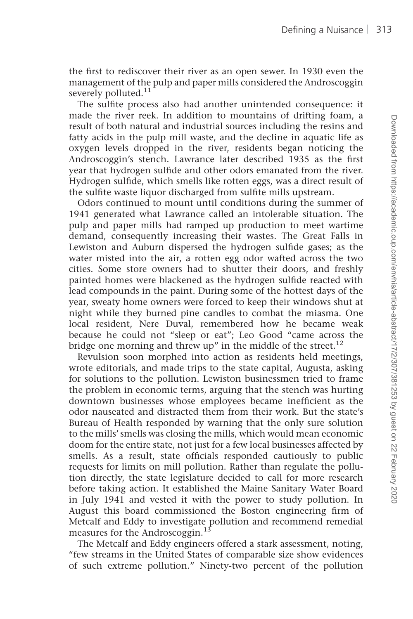the first to rediscover their river as an open sewer. In 1930 even the management of the pulp and paper mills considered the Androscoggin severely polluted.<sup>11</sup>

The sulfite process also had another unintended consequence: it made the river reek. In addition to mountains of drifting foam, a result of both natural and industrial sources including the resins and fatty acids in the pulp mill waste, and the decline in aquatic life as oxygen levels dropped in the river, residents began noticing the Androscoggin's stench. Lawrance later described 1935 as the first year that hydrogen sulfide and other odors emanated from the river. Hydrogen sulfide, which smells like rotten eggs, was a direct result of the sulfite waste liquor discharged from sulfite mills upstream.

Odors continued to mount until conditions during the summer of 1941 generated what Lawrance called an intolerable situation. The pulp and paper mills had ramped up production to meet wartime demand, consequently increasing their wastes. The Great Falls in Lewiston and Auburn dispersed the hydrogen sulfide gases; as the water misted into the air, a rotten egg odor wafted across the two cities. Some store owners had to shutter their doors, and freshly painted homes were blackened as the hydrogen sulfide reacted with lead compounds in the paint. During some of the hottest days of the year, sweaty home owners were forced to keep their windows shut at night while they burned pine candles to combat the miasma. One local resident, Nere Duval, remembered how he became weak because he could not "sleep or eat"; Leo Good "came across the bridge one morning and threw up" in the middle of the street.<sup>12</sup>

Revulsion soon morphed into action as residents held meetings, wrote editorials, and made trips to the state capital, Augusta, asking for solutions to the pollution. Lewiston businessmen tried to frame the problem in economic terms, arguing that the stench was hurting downtown businesses whose employees became inefficient as the odor nauseated and distracted them from their work. But the state's Bureau of Health responded by warning that the only sure solution to the mills' smells was closing the mills, which would mean economic doom for the entire state, not just for a few local businesses affected by smells. As a result, state officials responded cautiously to public requests for limits on mill pollution. Rather than regulate the pollution directly, the state legislature decided to call for more research before taking action. It established the Maine Sanitary Water Board in July 1941 and vested it with the power to study pollution. In August this board commissioned the Boston engineering firm of Metcalf and Eddy to investigate pollution and recommend remedial measures for the Androscoggin.<sup>13</sup>

The Metcalf and Eddy engineers offered a stark assessment, noting, "few streams in the United States of comparable size show evidences of such extreme pollution." Ninety-two percent of the pollution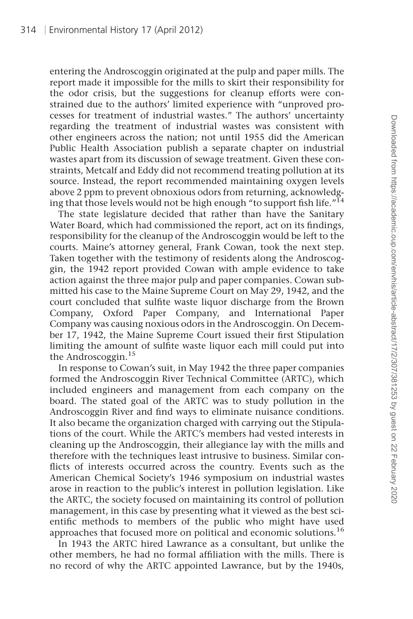entering the Androscoggin originated at the pulp and paper mills. The report made it impossible for the mills to skirt their responsibility for the odor crisis, but the suggestions for cleanup efforts were constrained due to the authors' limited experience with "unproved processes for treatment of industrial wastes." The authors' uncertainty regarding the treatment of industrial wastes was consistent with other engineers across the nation; not until 1955 did the American Public Health Association publish a separate chapter on industrial wastes apart from its discussion of sewage treatment. Given these constraints, Metcalf and Eddy did not recommend treating pollution at its source. Instead, the report recommended maintaining oxygen levels above 2 ppm to prevent obnoxious odors from returning, acknowledging that those levels would not be high enough "to support fish life."<sup>14</sup>

The state legislature decided that rather than have the Sanitary Water Board, which had commissioned the report, act on its findings, responsibility for the cleanup of the Androscoggin would be left to the courts. Maine's attorney general, Frank Cowan, took the next step. Taken together with the testimony of residents along the Androscoggin, the 1942 report provided Cowan with ample evidence to take action against the three major pulp and paper companies. Cowan submitted his case to the Maine Supreme Court on May 29, 1942, and the court concluded that sulfite waste liquor discharge from the Brown Company, Oxford Paper Company, and International Paper Company was causing noxious odors in the Androscoggin. On December 17, 1942, the Maine Supreme Court issued their first Stipulation limiting the amount of sulfite waste liquor each mill could put into the Androscoggin.<sup>15</sup>

In response to Cowan's suit, in May 1942 the three paper companies formed the Androscoggin River Technical Committee (ARTC), which included engineers and management from each company on the board. The stated goal of the ARTC was to study pollution in the Androscoggin River and find ways to eliminate nuisance conditions. It also became the organization charged with carrying out the Stipulations of the court. While the ARTC's members had vested interests in cleaning up the Androscoggin, their allegiance lay with the mills and therefore with the techniques least intrusive to business. Similar conflicts of interests occurred across the country. Events such as the American Chemical Society's 1946 symposium on industrial wastes arose in reaction to the public's interest in pollution legislation. Like the ARTC, the society focused on maintaining its control of pollution management, in this case by presenting what it viewed as the best scientific methods to members of the public who might have used approaches that focused more on political and economic solutions.<sup>16</sup>

In 1943 the ARTC hired Lawrance as a consultant, but unlike the other members, he had no formal affiliation with the mills. There is no record of why the ARTC appointed Lawrance, but by the 1940s,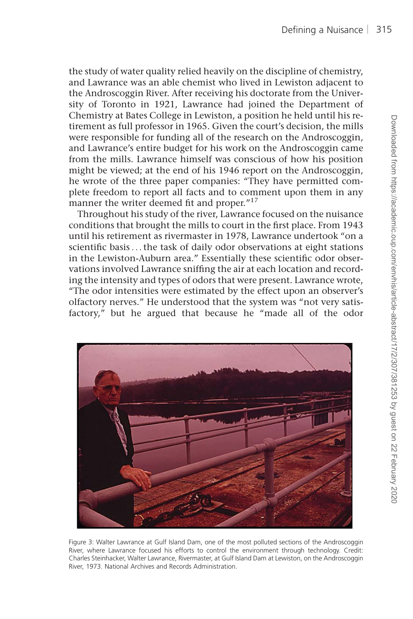the study of water quality relied heavily on the discipline of chemistry, and Lawrance was an able chemist who lived in Lewiston adjacent to the Androscoggin River. After receiving his doctorate from the University of Toronto in 1921, Lawrance had joined the Department of Chemistry at Bates College in Lewiston, a position he held until his retirement as full professor in 1965. Given the court's decision, the mills were responsible for funding all of the research on the Androscoggin, and Lawrance's entire budget for his work on the Androscoggin came from the mills. Lawrance himself was conscious of how his position might be viewed; at the end of his 1946 report on the Androscoggin, he wrote of the three paper companies: "They have permitted complete freedom to report all facts and to comment upon them in any manner the writer deemed fit and proper."<sup>17</sup>

Throughout his study of the river, Lawrance focused on the nuisance conditions that brought the mills to court in the first place. From 1943 until his retirement as rivermaster in 1978, Lawrance undertook "on a scientific basis ... the task of daily odor observations at eight stations in the Lewiston-Auburn area." Essentially these scientific odor observations involved Lawrance sniffing the air at each location and recording the intensity and types of odors that were present. Lawrance wrote, "The odor intensities were estimated by the effect upon an observer's olfactory nerves." He understood that the system was "not very satisfactory," but he argued that because he "made all of the odor



Figure 3: Walter Lawrance at Gulf Island Dam, one of the most polluted sections of the Androscoggin River, where Lawrance focused his efforts to control the environment through technology. Credit: Charles Steinhacker, Walter Lawrance, Rivermaster, at Gulf Island Dam at Lewiston, on the Androscoggin River, 1973. National Archives and Records Administration.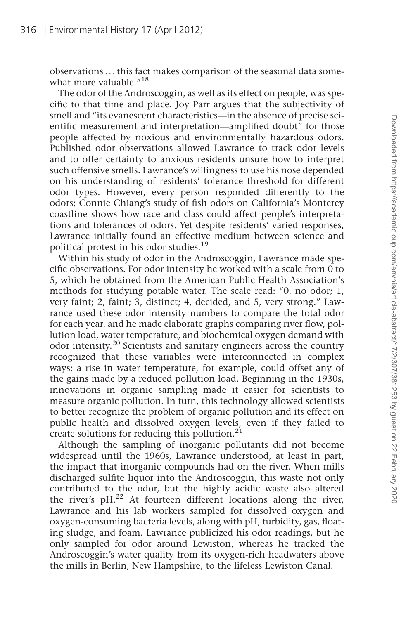observations ... this fact makes comparison of the seasonal data somewhat more valuable."<sup>18</sup>

The odor of the Androscoggin, as well as its effect on people, was specific to that time and place. Joy Parr argues that the subjectivity of smell and "its evanescent characteristics—in the absence of precise scientific measurement and interpretation—amplified doubt" for those people affected by noxious and environmentally hazardous odors. Published odor observations allowed Lawrance to track odor levels and to offer certainty to anxious residents unsure how to interpret such offensive smells. Lawrance's willingness to use his nose depended on his understanding of residents' tolerance threshold for different odor types. However, every person responded differently to the odors; Connie Chiang's study of fish odors on California's Monterey coastline shows how race and class could affect people's interpretations and tolerances of odors. Yet despite residents' varied responses, Lawrance initially found an effective medium between science and political protest in his odor studies.<sup>19</sup>

Within his study of odor in the Androscoggin, Lawrance made specific observations. For odor intensity he worked with a scale from 0 to 5, which he obtained from the American Public Health Association's methods for studying potable water. The scale read: "0, no odor; 1, very faint; 2, faint; 3, distinct; 4, decided, and 5, very strong." Lawrance used these odor intensity numbers to compare the total odor for each year, and he made elaborate graphs comparing river flow, pollution load, water temperature, and biochemical oxygen demand with odor intensity.<sup>20</sup> Scientists and sanitary engineers across the country recognized that these variables were interconnected in complex ways; a rise in water temperature, for example, could offset any of the gains made by a reduced pollution load. Beginning in the 1930s, innovations in organic sampling made it easier for scientists to measure organic pollution. In turn, this technology allowed scientists to better recognize the problem of organic pollution and its effect on public health and dissolved oxygen levels, even if they failed to create solutions for reducing this pollution.<sup>21</sup>

Although the sampling of inorganic pollutants did not become widespread until the 1960s, Lawrance understood, at least in part, the impact that inorganic compounds had on the river. When mills discharged sulfite liquor into the Androscoggin, this waste not only contributed to the odor, but the highly acidic waste also altered the river's pH.<sup>22</sup> At fourteen different locations along the river, Lawrance and his lab workers sampled for dissolved oxygen and oxygen-consuming bacteria levels, along with pH, turbidity, gas, floating sludge, and foam. Lawrance publicized his odor readings, but he only sampled for odor around Lewiston, whereas he tracked the Androscoggin's water quality from its oxygen-rich headwaters above the mills in Berlin, New Hampshire, to the lifeless Lewiston Canal.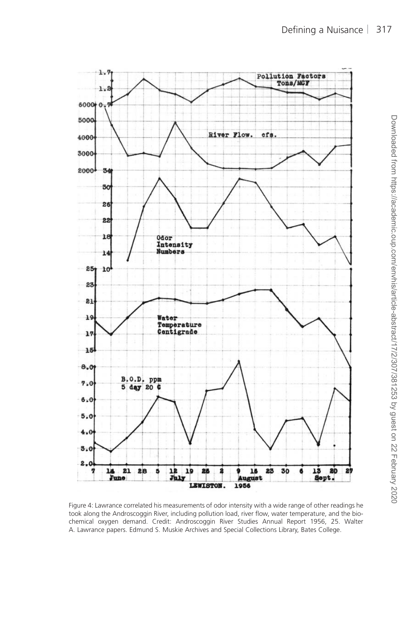

Figure 4: Lawrance correlated his measurements of odor intensity with a wide range of other readings he took along the Androscoggin River, including pollution load, river flow, water temperature, and the biochemical oxygen demand. Credit: Androscoggin River Studies Annual Report 1956, 25. Walter A. Lawrance papers. Edmund S. Muskie Archives and Special Collections Library, Bates College.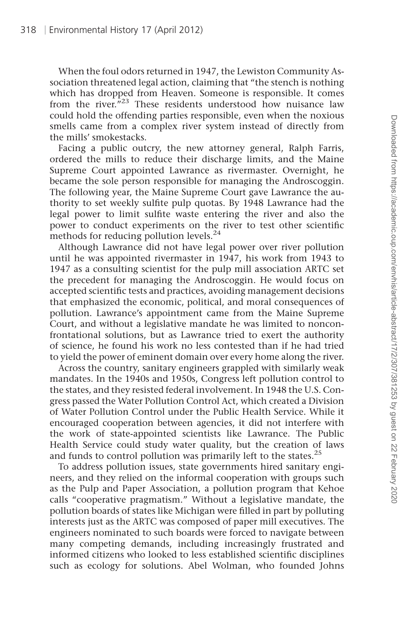When the foul odors returned in 1947, the Lewiston Community Association threatened legal action, claiming that "the stench is nothing which has dropped from Heaven. Someone is responsible. It comes from the river."<sup>23</sup> These residents understood how nuisance law could hold the offending parties responsible, even when the noxious smells came from a complex river system instead of directly from the mills' smokestacks.

Facing a public outcry, the new attorney general, Ralph Farris, ordered the mills to reduce their discharge limits, and the Maine Supreme Court appointed Lawrance as rivermaster. Overnight, he became the sole person responsible for managing the Androscoggin. The following year, the Maine Supreme Court gave Lawrance the authority to set weekly sulfite pulp quotas. By 1948 Lawrance had the legal power to limit sulfite waste entering the river and also the power to conduct experiments on the river to test other scientific methods for reducing pollution levels.<sup>24</sup>

Although Lawrance did not have legal power over river pollution until he was appointed rivermaster in 1947, his work from 1943 to 1947 as a consulting scientist for the pulp mill association ARTC set the precedent for managing the Androscoggin. He would focus on accepted scientific tests and practices, avoiding management decisions that emphasized the economic, political, and moral consequences of pollution. Lawrance's appointment came from the Maine Supreme Court, and without a legislative mandate he was limited to nonconfrontational solutions, but as Lawrance tried to exert the authority of science, he found his work no less contested than if he had tried to yield the power of eminent domain over every home along the river.

Across the country, sanitary engineers grappled with similarly weak mandates. In the 1940s and 1950s, Congress left pollution control to the states, and they resisted federal involvement. In 1948 the U.S. Congress passed the Water Pollution Control Act, which created a Division of Water Pollution Control under the Public Health Service. While it encouraged cooperation between agencies, it did not interfere with the work of state-appointed scientists like Lawrance. The Public Health Service could study water quality, but the creation of laws and funds to control pollution was primarily left to the states.<sup>25</sup>

To address pollution issues, state governments hired sanitary engineers, and they relied on the informal cooperation with groups such as the Pulp and Paper Association, a pollution program that Kehoe calls "cooperative pragmatism." Without a legislative mandate, the pollution boards of states like Michigan were filled in part by polluting interests just as the ARTC was composed of paper mill executives. The engineers nominated to such boards were forced to navigate between many competing demands, including increasingly frustrated and informed citizens who looked to less established scientific disciplines such as ecology for solutions. Abel Wolman, who founded Johns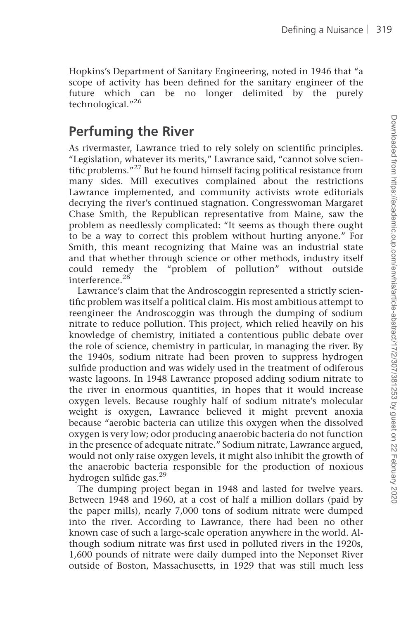Hopkins's Department of Sanitary Engineering, noted in 1946 that "a scope of activity has been defined for the sanitary engineer of the future which can be no longer delimited by the purely technological."<sup>26</sup>

### Perfuming the River

As rivermaster, Lawrance tried to rely solely on scientific principles. "Legislation, whatever its merits," Lawrance said, "cannot solve scientific problems."<sup>27</sup> But he found himself facing political resistance from many sides. Mill executives complained about the restrictions Lawrance implemented, and community activists wrote editorials decrying the river's continued stagnation. Congresswoman Margaret Chase Smith, the Republican representative from Maine, saw the problem as needlessly complicated: "It seems as though there ought to be a way to correct this problem without hurting anyone." For Smith, this meant recognizing that Maine was an industrial state and that whether through science or other methods, industry itself could remedy the "problem of pollution" without outside interference.<sup>28</sup>

Lawrance's claim that the Androscoggin represented a strictly scientific problem was itself a political claim. His most ambitious attempt to reengineer the Androscoggin was through the dumping of sodium nitrate to reduce pollution. This project, which relied heavily on his knowledge of chemistry, initiated a contentious public debate over the role of science, chemistry in particular, in managing the river. By the 1940s, sodium nitrate had been proven to suppress hydrogen sulfide production and was widely used in the treatment of odiferous waste lagoons. In 1948 Lawrance proposed adding sodium nitrate to the river in enormous quantities, in hopes that it would increase oxygen levels. Because roughly half of sodium nitrate's molecular weight is oxygen, Lawrance believed it might prevent anoxia because "aerobic bacteria can utilize this oxygen when the dissolved oxygen is very low; odor producing anaerobic bacteria do not function in the presence of adequate nitrate." Sodium nitrate, Lawrance argued, would not only raise oxygen levels, it might also inhibit the growth of the anaerobic bacteria responsible for the production of noxious hydrogen sulfide gas.<sup>29</sup>

The dumping project began in 1948 and lasted for twelve years. Between 1948 and 1960, at a cost of half a million dollars (paid by the paper mills), nearly 7,000 tons of sodium nitrate were dumped into the river. According to Lawrance, there had been no other known case of such a large-scale operation anywhere in the world. Although sodium nitrate was first used in polluted rivers in the 1920s, 1,600 pounds of nitrate were daily dumped into the Neponset River outside of Boston, Massachusetts, in 1929 that was still much less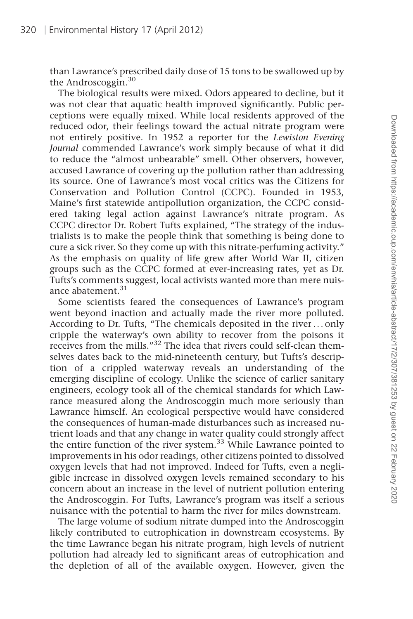than Lawrance's prescribed daily dose of 15 tons to be swallowed up by the Androscoggin.<sup>30</sup>

The biological results were mixed. Odors appeared to decline, but it was not clear that aquatic health improved significantly. Public perceptions were equally mixed. While local residents approved of the reduced odor, their feelings toward the actual nitrate program were not entirely positive. In 1952 a reporter for the Lewiston Evening Journal commended Lawrance's work simply because of what it did to reduce the "almost unbearable" smell. Other observers, however, accused Lawrance of covering up the pollution rather than addressing its source. One of Lawrance's most vocal critics was the Citizens for Conservation and Pollution Control (CCPC). Founded in 1953, Maine's first statewide antipollution organization, the CCPC considered taking legal action against Lawrance's nitrate program. As CCPC director Dr. Robert Tufts explained, "The strategy of the industrialists is to make the people think that something is being done to cure a sick river. So they come up with this nitrate-perfuming activity." As the emphasis on quality of life grew after World War II, citizen groups such as the CCPC formed at ever-increasing rates, yet as Dr. Tufts's comments suggest, local activists wanted more than mere nuisance abatement.<sup>31</sup>

Some scientists feared the consequences of Lawrance's program went beyond inaction and actually made the river more polluted. According to Dr. Tufts, "The chemicals deposited in the river ... only cripple the waterway's own ability to recover from the poisons it receives from the mills."<sup>32</sup> The idea that rivers could self-clean themselves dates back to the mid-nineteenth century, but Tufts's description of a crippled waterway reveals an understanding of the emerging discipline of ecology. Unlike the science of earlier sanitary engineers, ecology took all of the chemical standards for which Lawrance measured along the Androscoggin much more seriously than Lawrance himself. An ecological perspective would have considered the consequences of human-made disturbances such as increased nutrient loads and that any change in water quality could strongly affect the entire function of the river system.<sup>33</sup> While Lawrance pointed to improvements in his odor readings, other citizens pointed to dissolved oxygen levels that had not improved. Indeed for Tufts, even a negligible increase in dissolved oxygen levels remained secondary to his concern about an increase in the level of nutrient pollution entering the Androscoggin. For Tufts, Lawrance's program was itself a serious nuisance with the potential to harm the river for miles downstream.

The large volume of sodium nitrate dumped into the Androscoggin likely contributed to eutrophication in downstream ecosystems. By the time Lawrance began his nitrate program, high levels of nutrient pollution had already led to significant areas of eutrophication and the depletion of all of the available oxygen. However, given the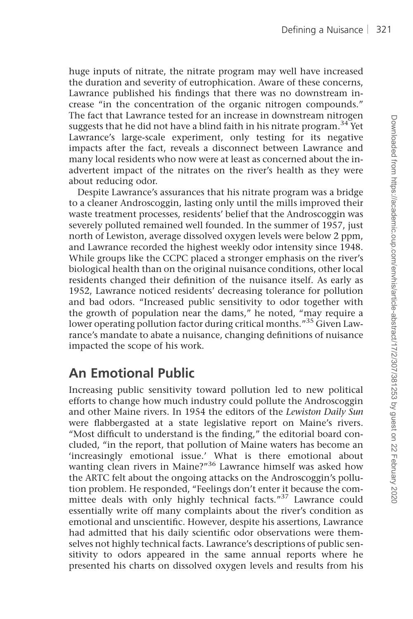huge inputs of nitrate, the nitrate program may well have increased the duration and severity of eutrophication. Aware of these concerns, Lawrance published his findings that there was no downstream increase "in the concentration of the organic nitrogen compounds." The fact that Lawrance tested for an increase in downstream nitrogen suggests that he did not have a blind faith in his nitrate program.<sup>34</sup> Yet Lawrance's large-scale experiment, only testing for its negative impacts after the fact, reveals a disconnect between Lawrance and many local residents who now were at least as concerned about the inadvertent impact of the nitrates on the river's health as they were about reducing odor.

Despite Lawrance's assurances that his nitrate program was a bridge to a cleaner Androscoggin, lasting only until the mills improved their waste treatment processes, residents' belief that the Androscoggin was severely polluted remained well founded. In the summer of 1957, just north of Lewiston, average dissolved oxygen levels were below 2 ppm, and Lawrance recorded the highest weekly odor intensity since 1948. While groups like the CCPC placed a stronger emphasis on the river's biological health than on the original nuisance conditions, other local residents changed their definition of the nuisance itself. As early as 1952, Lawrance noticed residents' decreasing tolerance for pollution and bad odors. "Increased public sensitivity to odor together with the growth of population near the dams," he noted, "may require a lower operating pollution factor during critical months."<sup>35</sup> Given Lawrance's mandate to abate a nuisance, changing definitions of nuisance impacted the scope of his work.

# An Emotional Public

Increasing public sensitivity toward pollution led to new political efforts to change how much industry could pollute the Androscoggin and other Maine rivers. In 1954 the editors of the Lewiston Daily Sun were flabbergasted at a state legislative report on Maine's rivers. "Most difficult to understand is the finding," the editorial board concluded, "in the report, that pollution of Maine waters has become an 'increasingly emotional issue.' What is there emotional about wanting clean rivers in Maine?"<sup>36</sup> Lawrance himself was asked how the ARTC felt about the ongoing attacks on the Androscoggin's pollution problem. He responded, "Feelings don't enter it because the committee deals with only highly technical facts."<sup>37</sup> Lawrance could essentially write off many complaints about the river's condition as emotional and unscientific. However, despite his assertions, Lawrance had admitted that his daily scientific odor observations were themselves not highly technical facts. Lawrance's descriptions of public sensitivity to odors appeared in the same annual reports where he presented his charts on dissolved oxygen levels and results from his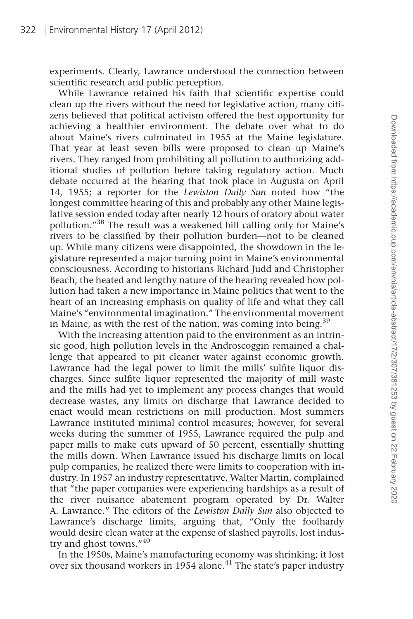experiments. Clearly, Lawrance understood the connection between scientific research and public perception.

While Lawrance retained his faith that scientific expertise could clean up the rivers without the need for legislative action, many citizens believed that political activism offered the best opportunity for achieving a healthier environment. The debate over what to do about Maine's rivers culminated in 1955 at the Maine legislature. That year at least seven bills were proposed to clean up Maine's rivers. They ranged from prohibiting all pollution to authorizing additional studies of pollution before taking regulatory action. Much debate occurred at the hearing that took place in Augusta on April 14, 1955; a reporter for the Lewiston Daily Sun noted how "the longest committee hearing of this and probably any other Maine legislative session ended today after nearly 12 hours of oratory about water pollution."<sup>38</sup> The result was a weakened bill calling only for Maine's rivers to be classified by their pollution burden—not to be cleaned up. While many citizens were disappointed, the showdown in the legislature represented a major turning point in Maine's environmental consciousness. According to historians Richard Judd and Christopher Beach, the heated and lengthy nature of the hearing revealed how pollution had taken a new importance in Maine politics that went to the heart of an increasing emphasis on quality of life and what they call Maine's "environmental imagination." The environmental movement in Maine, as with the rest of the nation, was coming into being.<sup>39</sup>

With the increasing attention paid to the environment as an intrinsic good, high pollution levels in the Androscoggin remained a challenge that appeared to pit cleaner water against economic growth. Lawrance had the legal power to limit the mills' sulfite liquor discharges. Since sulfite liquor represented the majority of mill waste and the mills had yet to implement any process changes that would decrease wastes, any limits on discharge that Lawrance decided to enact would mean restrictions on mill production. Most summers Lawrance instituted minimal control measures; however, for several weeks during the summer of 1955, Lawrance required the pulp and paper mills to make cuts upward of 50 percent, essentially shutting the mills down. When Lawrance issued his discharge limits on local pulp companies, he realized there were limits to cooperation with industry. In 1957 an industry representative, Walter Martin, complained that "the paper companies were experiencing hardships as a result of the river nuisance abatement program operated by Dr. Walter A. Lawrance." The editors of the Lewiston Daily Sun also objected to Lawrance's discharge limits, arguing that, "Only the foolhardy would desire clean water at the expense of slashed payrolls, lost industry and ghost towns."<sup>40</sup>

In the 1950s, Maine's manufacturing economy was shrinking; it lost over six thousand workers in 1954 alone.<sup>41</sup> The state's paper industry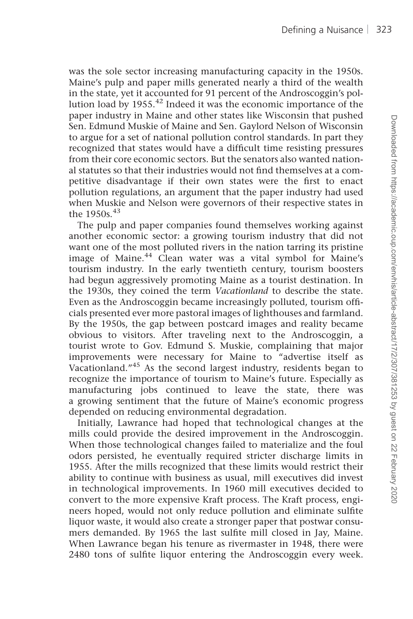was the sole sector increasing manufacturing capacity in the 1950s. Maine's pulp and paper mills generated nearly a third of the wealth in the state, yet it accounted for 91 percent of the Androscoggin's pollution load by 1955.<sup>42</sup> Indeed it was the economic importance of the paper industry in Maine and other states like Wisconsin that pushed Sen. Edmund Muskie of Maine and Sen. Gaylord Nelson of Wisconsin to argue for a set of national pollution control standards. In part they recognized that states would have a difficult time resisting pressures from their core economic sectors. But the senators also wanted national statutes so that their industries would not find themselves at a competitive disadvantage if their own states were the first to enact pollution regulations, an argument that the paper industry had used when Muskie and Nelson were governors of their respective states in the 1950s.<sup>43</sup>

The pulp and paper companies found themselves working against another economic sector: a growing tourism industry that did not want one of the most polluted rivers in the nation tarring its pristine image of Maine.<sup>44</sup> Clean water was a vital symbol for Maine's tourism industry. In the early twentieth century, tourism boosters had begun aggressively promoting Maine as a tourist destination. In the 1930s, they coined the term Vacationland to describe the state. Even as the Androscoggin became increasingly polluted, tourism officials presented ever more pastoral images of lighthouses and farmland. By the 1950s, the gap between postcard images and reality became obvious to visitors. After traveling next to the Androscoggin, a tourist wrote to Gov. Edmund S. Muskie, complaining that major improvements were necessary for Maine to "advertise itself as Vacationland."<sup>45</sup> As the second largest industry, residents began to recognize the importance of tourism to Maine's future. Especially as manufacturing jobs continued to leave the state, there was a growing sentiment that the future of Maine's economic progress depended on reducing environmental degradation.

Initially, Lawrance had hoped that technological changes at the mills could provide the desired improvement in the Androscoggin. When those technological changes failed to materialize and the foul odors persisted, he eventually required stricter discharge limits in 1955. After the mills recognized that these limits would restrict their ability to continue with business as usual, mill executives did invest in technological improvements. In 1960 mill executives decided to convert to the more expensive Kraft process. The Kraft process, engineers hoped, would not only reduce pollution and eliminate sulfite liquor waste, it would also create a stronger paper that postwar consumers demanded. By 1965 the last sulfite mill closed in Jay, Maine. When Lawrance began his tenure as rivermaster in 1948, there were 2480 tons of sulfite liquor entering the Androscoggin every week.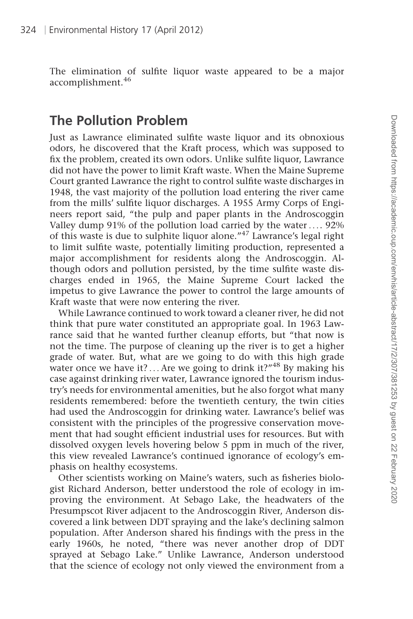The elimination of sulfite liquor waste appeared to be a major accomplishment.<sup>46</sup>

# The Pollution Problem

Just as Lawrance eliminated sulfite waste liquor and its obnoxious odors, he discovered that the Kraft process, which was supposed to fix the problem, created its own odors. Unlike sulfite liquor, Lawrance did not have the power to limit Kraft waste. When the Maine Supreme Court granted Lawrance the right to control sulfite waste discharges in 1948, the vast majority of the pollution load entering the river came from the mills' sulfite liquor discharges. A 1955 Army Corps of Engineers report said, "the pulp and paper plants in the Androscoggin Valley dump 91% of the pollution load carried by the water .... 92% of this waste is due to sulphite liquor alone."<sup>47</sup> Lawrance's legal right to limit sulfite waste, potentially limiting production, represented a major accomplishment for residents along the Androscoggin. Although odors and pollution persisted, by the time sulfite waste discharges ended in 1965, the Maine Supreme Court lacked the impetus to give Lawrance the power to control the large amounts of Kraft waste that were now entering the river.

While Lawrance continued to work toward a cleaner river, he did not think that pure water constituted an appropriate goal. In 1963 Lawrance said that he wanted further cleanup efforts, but "that now is not the time. The purpose of cleaning up the river is to get a higher grade of water. But, what are we going to do with this high grade water once we have it?... Are we going to drink it?"<sup>48</sup> By making his case against drinking river water, Lawrance ignored the tourism industry's needs for environmental amenities, but he also forgot what many residents remembered: before the twentieth century, the twin cities had used the Androscoggin for drinking water. Lawrance's belief was consistent with the principles of the progressive conservation movement that had sought efficient industrial uses for resources. But with dissolved oxygen levels hovering below 5 ppm in much of the river, this view revealed Lawrance's continued ignorance of ecology's emphasis on healthy ecosystems.

Other scientists working on Maine's waters, such as fisheries biologist Richard Anderson, better understood the role of ecology in improving the environment. At Sebago Lake, the headwaters of the Presumpscot River adjacent to the Androscoggin River, Anderson discovered a link between DDT spraying and the lake's declining salmon population. After Anderson shared his findings with the press in the early 1960s, he noted, "there was never another drop of DDT sprayed at Sebago Lake." Unlike Lawrance, Anderson understood that the science of ecology not only viewed the environment from a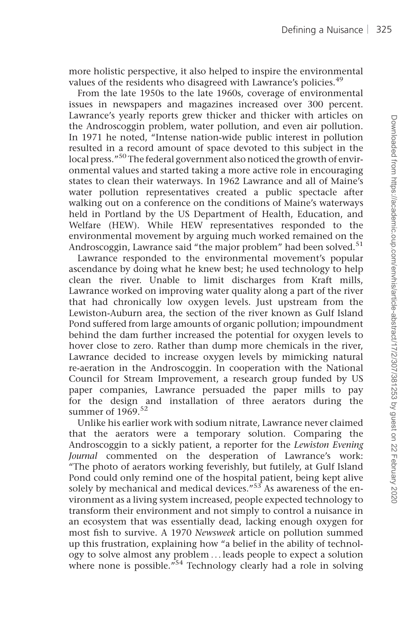more holistic perspective, it also helped to inspire the environmental values of the residents who disagreed with Lawrance's policies.<sup>49</sup>

From the late 1950s to the late 1960s, coverage of environmental issues in newspapers and magazines increased over 300 percent. Lawrance's yearly reports grew thicker and thicker with articles on the Androscoggin problem, water pollution, and even air pollution. In 1971 he noted, "Intense nation-wide public interest in pollution resulted in a record amount of space devoted to this subject in the local press."<sup>50</sup> The federal government also noticed the growth of environmental values and started taking a more active role in encouraging states to clean their waterways. In 1962 Lawrance and all of Maine's water pollution representatives created a public spectacle after walking out on a conference on the conditions of Maine's waterways held in Portland by the US Department of Health, Education, and Welfare (HEW). While HEW representatives responded to the environmental movement by arguing much worked remained on the Androscoggin, Lawrance said "the major problem" had been solved.<sup>51</sup>

Lawrance responded to the environmental movement's popular ascendance by doing what he knew best; he used technology to help clean the river. Unable to limit discharges from Kraft mills, Lawrance worked on improving water quality along a part of the river that had chronically low oxygen levels. Just upstream from the Lewiston-Auburn area, the section of the river known as Gulf Island Pond suffered from large amounts of organic pollution; impoundment behind the dam further increased the potential for oxygen levels to hover close to zero. Rather than dump more chemicals in the river, Lawrance decided to increase oxygen levels by mimicking natural re-aeration in the Androscoggin. In cooperation with the National Council for Stream Improvement, a research group funded by US paper companies, Lawrance persuaded the paper mills to pay for the design and installation of three aerators during the summer of  $1969.52$ 

Unlike his earlier work with sodium nitrate, Lawrance never claimed that the aerators were a temporary solution. Comparing the Androscoggin to a sickly patient, a reporter for the Lewiston Evening Journal commented on the desperation of Lawrance's work: "The photo of aerators working feverishly, but futilely, at Gulf Island Pond could only remind one of the hospital patient, being kept alive solely by mechanical and medical devices." $53$  As awareness of the environment as a living system increased, people expected technology to transform their environment and not simply to control a nuisance in an ecosystem that was essentially dead, lacking enough oxygen for most fish to survive. A 1970 Newsweek article on pollution summed up this frustration, explaining how "a belief in the ability of technology to solve almost any problem ... leads people to expect a solution where none is possible."<sup>54</sup> Technology clearly had a role in solving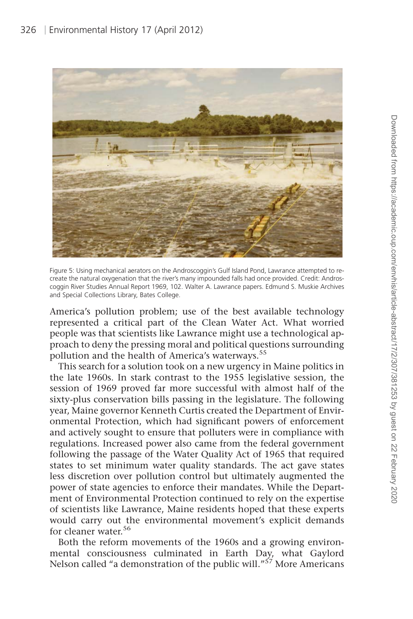

Figure 5: Using mechanical aerators on the Androscoggin's Gulf Island Pond, Lawrance attempted to recreate the natural oxygenation that the river's many impounded falls had once provided. Credit: Androscoggin River Studies Annual Report 1969, 102. Walter A. Lawrance papers. Edmund S. Muskie Archives and Special Collections Library, Bates College.

America's pollution problem; use of the best available technology represented a critical part of the Clean Water Act. What worried people was that scientists like Lawrance might use a technological approach to deny the pressing moral and political questions surrounding pollution and the health of America's waterways.<sup>55</sup>

This search for a solution took on a new urgency in Maine politics in the late 1960s. In stark contrast to the 1955 legislative session, the session of 1969 proved far more successful with almost half of the sixty-plus conservation bills passing in the legislature. The following year, Maine governor Kenneth Curtis created the Department of Environmental Protection, which had significant powers of enforcement and actively sought to ensure that polluters were in compliance with regulations. Increased power also came from the federal government following the passage of the Water Quality Act of 1965 that required states to set minimum water quality standards. The act gave states less discretion over pollution control but ultimately augmented the power of state agencies to enforce their mandates. While the Department of Environmental Protection continued to rely on the expertise of scientists like Lawrance, Maine residents hoped that these experts would carry out the environmental movement's explicit demands for cleaner water.<sup>56</sup>

Both the reform movements of the 1960s and a growing environmental consciousness culminated in Earth Day, what Gaylord Nelson called "a demonstration of the public will."<sup>57</sup> More Americans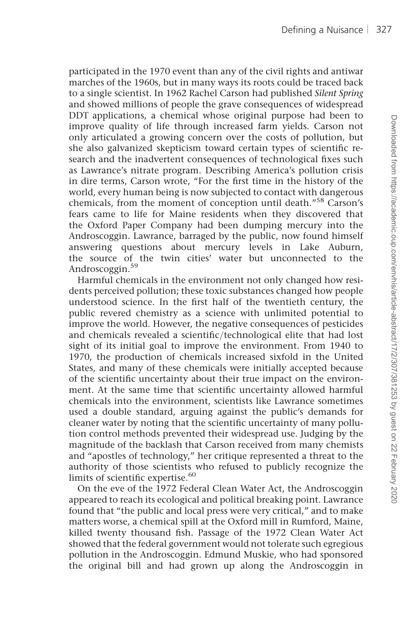participated in the 1970 event than any of the civil rights and antiwar marches of the 1960s, but in many ways its roots could be traced back to a single scientist. In 1962 Rachel Carson had published Silent Spring and showed millions of people the grave consequences of widespread DDT applications, a chemical whose original purpose had been to improve quality of life through increased farm yields. Carson not only articulated a growing concern over the costs of pollution, but she also galvanized skepticism toward certain types of scientific research and the inadvertent consequences of technological fixes such as Lawrance's nitrate program. Describing America's pollution crisis in dire terms, Carson wrote, "For the first time in the history of the world, every human being is now subjected to contact with dangerous chemicals, from the moment of conception until death."<sup>58</sup> Carson's fears came to life for Maine residents when they discovered that the Oxford Paper Company had been dumping mercury into the Androscoggin. Lawrance, barraged by the public, now found himself answering questions about mercury levels in Lake Auburn, the source of the twin cities' water but unconnected to the Androscoggin.<sup>59</sup>

Harmful chemicals in the environment not only changed how residents perceived pollution; these toxic substances changed how people understood science. In the first half of the twentieth century, the public revered chemistry as a science with unlimited potential to improve the world. However, the negative consequences of pesticides and chemicals revealed a scientific/technological elite that had lost sight of its initial goal to improve the environment. From 1940 to 1970, the production of chemicals increased sixfold in the United States, and many of these chemicals were initially accepted because of the scientific uncertainty about their true impact on the environment. At the same time that scientific uncertainty allowed harmful chemicals into the environment, scientists like Lawrance sometimes used a double standard, arguing against the public's demands for cleaner water by noting that the scientific uncertainty of many pollution control methods prevented their widespread use. Judging by the magnitude of the backlash that Carson received from many chemists and "apostles of technology," her critique represented a threat to the authority of those scientists who refused to publicly recognize the limits of scientific expertise.<sup>60</sup>

On the eve of the 1972 Federal Clean Water Act, the Androscoggin appeared to reach its ecological and political breaking point. Lawrance found that "the public and local press were very critical," and to make matters worse, a chemical spill at the Oxford mill in Rumford, Maine, killed twenty thousand fish. Passage of the 1972 Clean Water Act showed that the federal government would not tolerate such egregious pollution in the Androscoggin. Edmund Muskie, who had sponsored the original bill and had grown up along the Androscoggin in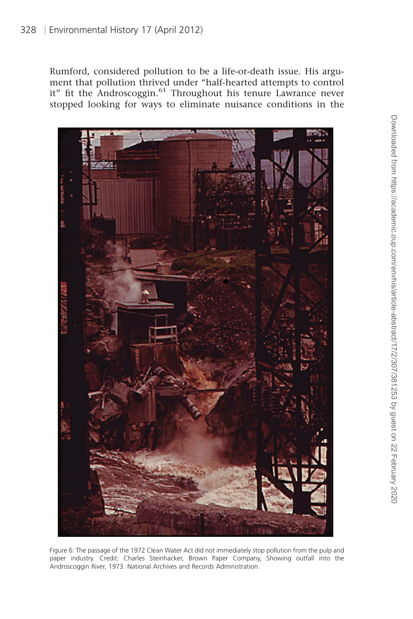Rumford, considered pollution to be a life-or-death issue. His argument that pollution thrived under "half-hearted attempts to control it" fit the Androscoggin.<sup>61</sup> Throughout his tenure Lawrance never stopped looking for ways to eliminate nuisance conditions in the



Figure 6: The passage of the 1972 Clean Water Act did not immediately stop pollution from the pulp and paper industry. Credit: Charles Steinhacker, Brown Paper Company, Showing outfall into the Androscoggin River, 1973. National Archives and Records Administration.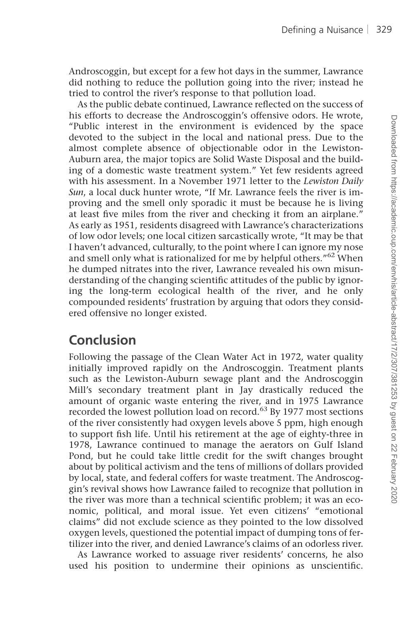Androscoggin, but except for a few hot days in the summer, Lawrance did nothing to reduce the pollution going into the river; instead he tried to control the river's response to that pollution load.

As the public debate continued, Lawrance reflected on the success of his efforts to decrease the Androscoggin's offensive odors. He wrote, "Public interest in the environment is evidenced by the space devoted to the subject in the local and national press. Due to the almost complete absence of objectionable odor in the Lewiston-Auburn area, the major topics are Solid Waste Disposal and the building of a domestic waste treatment system." Yet few residents agreed with his assessment. In a November 1971 letter to the Lewiston Daily Sun, a local duck hunter wrote, "If Mr. Lawrance feels the river is improving and the smell only sporadic it must be because he is living at least five miles from the river and checking it from an airplane." As early as 1951, residents disagreed with Lawrance's characterizations of low odor levels; one local citizen sarcastically wrote, "It may be that I haven't advanced, culturally, to the point where I can ignore my nose and smell only what is rationalized for me by helpful others."<sup>62</sup> When he dumped nitrates into the river, Lawrance revealed his own misunderstanding of the changing scientific attitudes of the public by ignoring the long-term ecological health of the river, and he only compounded residents' frustration by arguing that odors they considered offensive no longer existed.

## Conclusion

Following the passage of the Clean Water Act in 1972, water quality initially improved rapidly on the Androscoggin. Treatment plants such as the Lewiston-Auburn sewage plant and the Androscoggin Mill's secondary treatment plant in Jay drastically reduced the amount of organic waste entering the river, and in 1975 Lawrance recorded the lowest pollution load on record.<sup>63</sup> By 1977 most sections of the river consistently had oxygen levels above 5 ppm, high enough to support fish life. Until his retirement at the age of eighty-three in 1978, Lawrance continued to manage the aerators on Gulf Island Pond, but he could take little credit for the swift changes brought about by political activism and the tens of millions of dollars provided by local, state, and federal coffers for waste treatment. The Androscoggin's revival shows how Lawrance failed to recognize that pollution in the river was more than a technical scientific problem; it was an economic, political, and moral issue. Yet even citizens' "emotional claims" did not exclude science as they pointed to the low dissolved oxygen levels, questioned the potential impact of dumping tons of fertilizer into the river, and denied Lawrance's claims of an odorless river.

As Lawrance worked to assuage river residents' concerns, he also used his position to undermine their opinions as unscientific.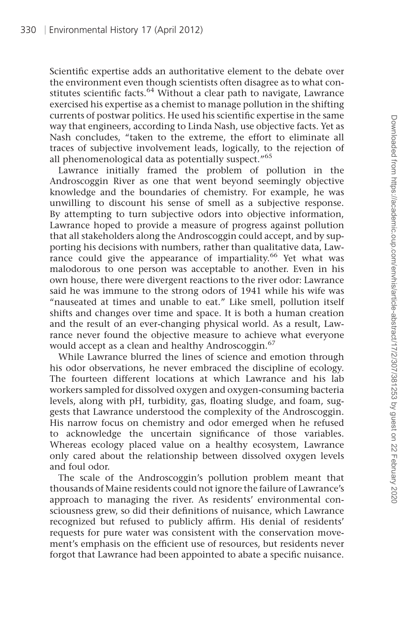Scientific expertise adds an authoritative element to the debate over the environment even though scientists often disagree as to what constitutes scientific facts.<sup>64</sup> Without a clear path to navigate, Lawrance exercised his expertise as a chemist to manage pollution in the shifting currents of postwar politics. He used his scientific expertise in the same way that engineers, according to Linda Nash, use objective facts. Yet as Nash concludes, "taken to the extreme, the effort to eliminate all traces of subjective involvement leads, logically, to the rejection of all phenomenological data as potentially suspect."<sup>65</sup>

Lawrance initially framed the problem of pollution in the Androscoggin River as one that went beyond seemingly objective knowledge and the boundaries of chemistry. For example, he was unwilling to discount his sense of smell as a subjective response. By attempting to turn subjective odors into objective information, Lawrance hoped to provide a measure of progress against pollution that all stakeholders along the Androscoggin could accept, and by supporting his decisions with numbers, rather than qualitative data, Lawrance could give the appearance of impartiality.<sup>66</sup> Yet what was malodorous to one person was acceptable to another. Even in his own house, there were divergent reactions to the river odor: Lawrance said he was immune to the strong odors of 1941 while his wife was "nauseated at times and unable to eat." Like smell, pollution itself shifts and changes over time and space. It is both a human creation and the result of an ever-changing physical world. As a result, Lawrance never found the objective measure to achieve what everyone would accept as a clean and healthy Androscoggin.<sup>67</sup>

While Lawrance blurred the lines of science and emotion through his odor observations, he never embraced the discipline of ecology. The fourteen different locations at which Lawrance and his lab workers sampled for dissolved oxygen and oxygen-consuming bacteria levels, along with pH, turbidity, gas, floating sludge, and foam, suggests that Lawrance understood the complexity of the Androscoggin. His narrow focus on chemistry and odor emerged when he refused to acknowledge the uncertain significance of those variables. Whereas ecology placed value on a healthy ecosystem, Lawrance only cared about the relationship between dissolved oxygen levels and foul odor.

The scale of the Androscoggin's pollution problem meant that thousands of Maine residents could not ignore the failure of Lawrance's approach to managing the river. As residents' environmental consciousness grew, so did their definitions of nuisance, which Lawrance recognized but refused to publicly affirm. His denial of residents' requests for pure water was consistent with the conservation movement's emphasis on the efficient use of resources, but residents never forgot that Lawrance had been appointed to abate a specific nuisance.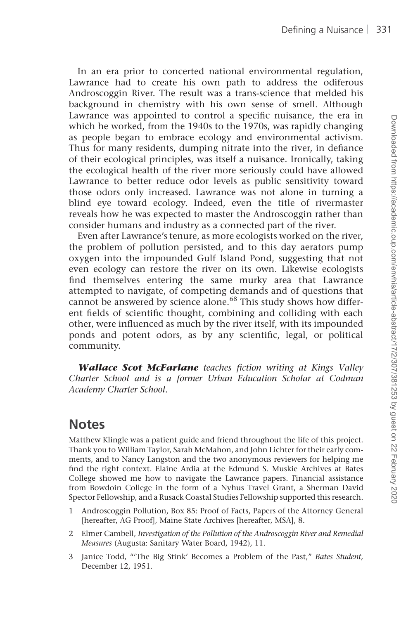In an era prior to concerted national environmental regulation, Lawrance had to create his own path to address the odiferous Androscoggin River. The result was a trans-science that melded his background in chemistry with his own sense of smell. Although Lawrance was appointed to control a specific nuisance, the era in which he worked, from the 1940s to the 1970s, was rapidly changing as people began to embrace ecology and environmental activism. Thus for many residents, dumping nitrate into the river, in defiance of their ecological principles, was itself a nuisance. Ironically, taking the ecological health of the river more seriously could have allowed Lawrance to better reduce odor levels as public sensitivity toward those odors only increased. Lawrance was not alone in turning a blind eye toward ecology. Indeed, even the title of rivermaster reveals how he was expected to master the Androscoggin rather than consider humans and industry as a connected part of the river.

Even after Lawrance's tenure, as more ecologists worked on the river, the problem of pollution persisted, and to this day aerators pump oxygen into the impounded Gulf Island Pond, suggesting that not even ecology can restore the river on its own. Likewise ecologists find themselves entering the same murky area that Lawrance attempted to navigate, of competing demands and of questions that cannot be answered by science alone.<sup>68</sup> This study shows how different fields of scientific thought, combining and colliding with each other, were influenced as much by the river itself, with its impounded ponds and potent odors, as by any scientific, legal, or political community.

Wallace Scot McFarlane teaches fiction writing at Kings Valley Charter School and is a former Urban Education Scholar at Codman Academy Charter School.

### **Notes**

Matthew Klingle was a patient guide and friend throughout the life of this project. Thank you to William Taylor, Sarah McMahon, and John Lichter for their early comments, and to Nancy Langston and the two anonymous reviewers for helping me find the right context. Elaine Ardia at the Edmund S. Muskie Archives at Bates College showed me how to navigate the Lawrance papers. Financial assistance from Bowdoin College in the form of a Nyhus Travel Grant, a Sherman David Spector Fellowship, and a Rusack Coastal Studies Fellowship supported this research.

- 1 Androscoggin Pollution, Box 85: Proof of Facts, Papers of the Attorney General [hereafter, AG Proof], Maine State Archives [hereafter, MSA], 8.
- 2 Elmer Cambell, Investigation of the Pollution of the Androscoggin River and Remedial Measures (Augusta: Sanitary Water Board, 1942), 11.
- 3 Janice Todd, "'The Big Stink' Becomes a Problem of the Past," Bates Student, December 12, 1951.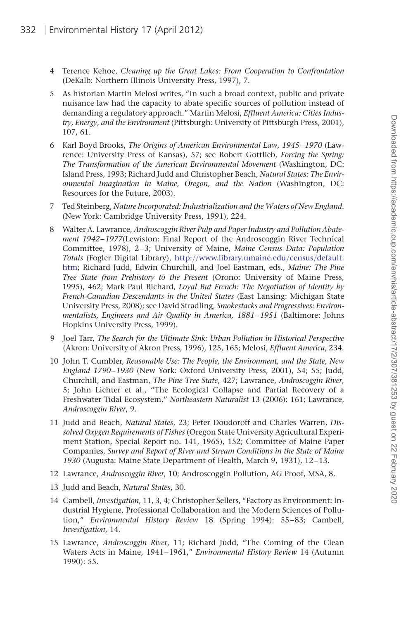- 4 Terence Kehoe, Cleaning up the Great Lakes: From Cooperation to Confrontation (DeKalb: Northern Illinois University Press, 1997), 7.
- 5 As historian Martin Melosi writes, "In such a broad context, public and private nuisance law had the capacity to abate specific sources of pollution instead of demanding a regulatory approach." Martin Melosi, Effluent America: Cities Industry, Energy, and the Environment (Pittsburgh: University of Pittsburgh Press, 2001), 107, 61.
- 6 Karl Boyd Brooks, The Origins of American Environmental Law, 1945 –1970 (Lawrence: University Press of Kansas), 57; see Robert Gottlieb, Forcing the Spring: The Transformation of the American Environmental Movement (Washington, DC: Island Press, 1993; Richard Judd and Christopher Beach, Natural States: The Environmental Imagination in Maine, Oregon, and the Nation (Washington, DC: Resources for the Future, 2003).
- 7 Ted Steinberg, Nature Incorporated: Industrialization and the Waters of New England. (New York: Cambridge University Press, 1991), 224.
- 8 Walter A. Lawrance, Androscoggin River Pulp and Paper Industry and Pollution Abatement 1942–1977(Lewiston: Final Report of the Androscoggin River Technical Committee, 1978), 2–3; University of Maine, Maine Census Data: Population Totals (Fogler Digital Library), [http:](http://www.library.umaine.edu/census/default.htm)//[www.library.umaine.edu](http://www.library.umaine.edu/census/default.htm)/census/default. [htm](http://www.library.umaine.edu/census/default.htm); Richard Judd, Edwin Churchill, and Joel Eastman, eds., Maine: The Pine Tree State from Prehistory to the Present (Orono: University of Maine Press, 1995), 462; Mark Paul Richard, Loyal But French: The Negotiation of Identity by French-Canadian Descendants in the United States (East Lansing: Michigan State University Press, 2008); see David Stradling, Smokestacks and Progressives: Environmentalists, Engineers and Air Quality in America, 1881–1951 (Baltimore: Johns Hopkins University Press, 1999).
- 9 Joel Tarr, The Search for the Ultimate Sink: Urban Pollution in Historical Perspective (Akron: University of Akron Press, 1996), 125, 165; Melosi, Effluent America, 234.
- 10 John T. Cumbler, Reasonable Use: The People, the Environment, and the State, New England 1790–1930 (New York: Oxford University Press, 2001), 54; 55; Judd, Churchill, and Eastman, The Pine Tree State, 427; Lawrance, Androscoggin River, 5; John Lichter et al., "The Ecological Collapse and Partial Recovery of a Freshwater Tidal Ecosystem," Northeastern Naturalist 13 (2006): 161; Lawrance, Androscoggin River, 9.
- 11 Judd and Beach, Natural States, 23; Peter Doudoroff and Charles Warren, Dissolved Oxygen Requirements of Fishes (Oregon State University Agricultural Experiment Station, Special Report no. 141, 1965), 152; Committee of Maine Paper Companies, Survey and Report of River and Stream Conditions in the State of Maine 1930 (Augusta: Maine State Department of Health, March 9, 1931), 12–13.
- 12 Lawrance, Androscoggin River, 10; Androscoggin Pollution, AG Proof, MSA, 8.
- 13 Judd and Beach, Natural States, 30.
- 14 Cambell, Investigation, 11, 3, 4; Christopher Sellers, "Factory as Environment: Industrial Hygiene, Professional Collaboration and the Modern Sciences of Pollution," Environmental History Review 18 (Spring 1994): 55–83; Cambell, Investigation, 14.
- 15 Lawrance, Androscoggin River, 11; Richard Judd, "The Coming of the Clean Waters Acts in Maine, 1941–1961," Environmental History Review 14 (Autumn 1990): 55.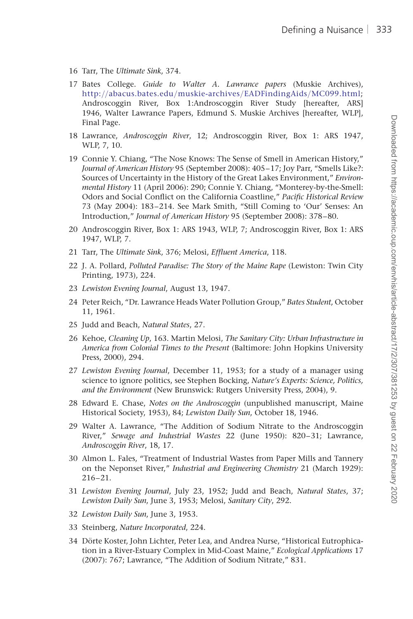- 16 Tarr, The Ultimate Sink, 374.
- 17 Bates College. Guide to Walter A. Lawrance papers (Muskie Archives), [http:](http://abacus.bates.edu/muskie-archives/EADFindingAids/MC099.html)//[abacus.bates.edu](http://abacus.bates.edu/muskie-archives/EADFindingAids/MC099.html)/muskie-archives/EADFindingAids/MC099.html; Androscoggin River, Box 1:Androscoggin River Study [hereafter, ARS] 1946, Walter Lawrance Papers, Edmund S. Muskie Archives [hereafter, WLP], Final Page.
- 18 Lawrance, Androscoggin River, 12; Androscoggin River, Box 1: ARS 1947, WLP, 7, 10.
- 19 Connie Y. Chiang, "The Nose Knows: The Sense of Smell in American History," Journal of American History 95 (September 2008): 405–17; Joy Parr, "Smells Like?: Sources of Uncertainty in the History of the Great Lakes Environment," Environmental History 11 (April 2006): 290; Connie Y. Chiang, "Monterey-by-the-Smell: Odors and Social Conflict on the California Coastline," Pacific Historical Review 73 (May 2004): 183–214. See Mark Smith, "Still Coming to 'Our' Senses: An Introduction," Journal of American History 95 (September 2008): 378–80.
- 20 Androscoggin River, Box 1: ARS 1943, WLP, 7; Androscoggin River, Box 1: ARS 1947, WLP, 7.
- 21 Tarr, The Ultimate Sink, 376; Melosi, Effluent America, 118.
- 22 J. A. Pollard, Polluted Paradise: The Story of the Maine Rape (Lewiston: Twin City Printing, 1973), 224.
- 23 Lewiston Evening Journal, August 13, 1947.
- 24 Peter Reich, "Dr. Lawrance Heads Water Pollution Group," Bates Student, October 11, 1961.
- 25 Judd and Beach, Natural States, 27.
- 26 Kehoe, Cleaning Up, 163. Martin Melosi, The Sanitary City: Urban Infrastructure in America from Colonial Times to the Present (Baltimore: John Hopkins University Press, 2000), 294.
- 27 Lewiston Evening Journal, December 11, 1953; for a study of a manager using science to ignore politics, see Stephen Bocking, Nature's Experts: Science, Politics, and the Environment (New Brunswick: Rutgers University Press, 2004), 9.
- 28 Edward E. Chase, Notes on the Androscoggin (unpublished manuscript, Maine Historical Society, 1953), 84; Lewiston Daily Sun, October 18, 1946.
- 29 Walter A. Lawrance, "The Addition of Sodium Nitrate to the Androscoggin River," Sewage and Industrial Wastes 22 (June 1950): 820–31; Lawrance, Androscoggin River, 18, 17.
- 30 Almon L. Fales, "Treatment of Industrial Wastes from Paper Mills and Tannery on the Neponset River," Industrial and Engineering Chemistry 21 (March 1929): 216–21.
- 31 Lewiston Evening Journal, July 23, 1952; Judd and Beach, Natural States, 37; Lewiston Daily Sun, June 3, 1953; Melosi, Sanitary City, 292.
- 32 Lewiston Daily Sun, June 3, 1953.
- 33 Steinberg, Nature Incorporated, 224.
- 34 Dörte Koster, John Lichter, Peter Lea, and Andrea Nurse, "Historical Eutrophication in a River-Estuary Complex in Mid-Coast Maine," Ecological Applications 17 (2007): 767; Lawrance, "The Addition of Sodium Nitrate," 831.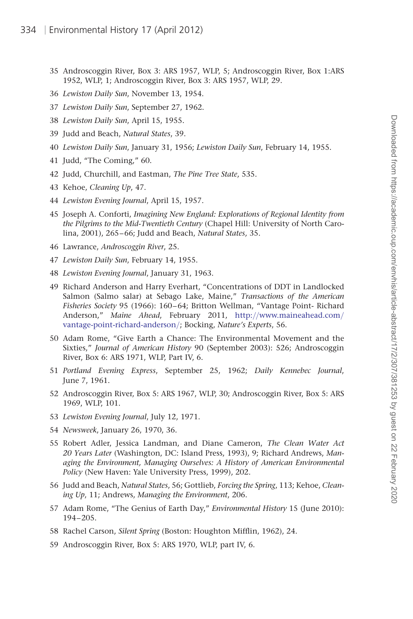- 35 Androscoggin River, Box 3: ARS 1957, WLP, 5; Androscoggin River, Box 1:ARS 1952, WLP, 1; Androscoggin River, Box 3: ARS 1957, WLP, 29.
- 36 Lewiston Daily Sun, November 13, 1954.
- 37 Lewiston Daily Sun, September 27, 1962.
- 38 Lewiston Daily Sun, April 15, 1955.
- 39 Judd and Beach, Natural States, 39.
- 40 Lewiston Daily Sun, January 31, 1956; Lewiston Daily Sun, February 14, 1955.
- 41 Judd, "The Coming," 60.
- 42 Judd, Churchill, and Eastman, The Pine Tree State, 535.
- 43 Kehoe, Cleaning Up, 47.
- 44 Lewiston Evening Journal, April 15, 1957.
- 45 Joseph A. Conforti, Imagining New England: Explorations of Regional Identity from the Pilgrims to the Mid-Twentieth Century (Chapel Hill: University of North Carolina, 2001), 265–66; Judd and Beach, Natural States, 35.
- 46 Lawrance, Androscoggin River, 25.
- 47 Lewiston Daily Sun, February 14, 1955.
- 48 Lewiston Evening Journal, January 31, 1963.
- 49 Richard Anderson and Harry Everhart, "Concentrations of DDT in Landlocked Salmon (Salmo salar) at Sebago Lake, Maine," Transactions of the American Fisheries Society 95 (1966): 160–64; Britton Wellman, "Vantage Point- Richard Anderson," Maine Ahead, February 2011, [http:](http://www.maineahead.com/vantage-point-richard-anderson/)//[www.maineahead.com](http://www.maineahead.com/vantage-point-richard-anderson/)/ [vantage-point-richard-anderson](http://www.maineahead.com/vantage-point-richard-anderson/)/; Bocking, Nature's Experts, 56.
- 50 Adam Rome, "Give Earth a Chance: The Environmental Movement and the Sixties," Journal of American History 90 (September 2003): 526; Androscoggin River, Box 6: ARS 1971, WLP, Part IV, 6.
- 51 Portland Evening Express, September 25, 1962; Daily Kennebec Journal, June 7, 1961.
- 52 Androscoggin River, Box 5: ARS 1967, WLP, 30; Androscoggin River, Box 5: ARS 1969, WLP, 101.
- 53 Lewiston Evening Journal, July 12, 1971.
- 54 Newsweek, January 26, 1970, 36.
- 55 Robert Adler, Jessica Landman, and Diane Cameron, The Clean Water Act 20 Years Later (Washington, DC: Island Press, 1993), 9; Richard Andrews, Managing the Environment, Managing Ourselves: A History of American Environmental Policy (New Haven: Yale University Press, 1999), 202.
- 56 Judd and Beach, Natural States, 56; Gottlieb, Forcing the Spring, 113; Kehoe, Cleaning Up, 11; Andrews, Managing the Environment, 206.
- 57 Adam Rome, "The Genius of Earth Day," Environmental History 15 (June 2010): 194–205.
- 58 Rachel Carson, Silent Spring (Boston: Houghton Mifflin, 1962), 24.
- 59 Androscoggin River, Box 5: ARS 1970, WLP, part IV, 6.